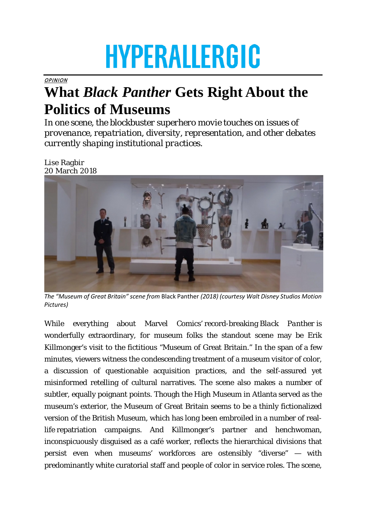## **HYPERALLERGIC**

**OPINION** 

## **What** *Black Panther* **Gets Right About the Politics of Museums**

*In one scene, the blockbuster superhero movie touches on issues of provenance, repatriation, diversity, representation, and other debates currently shaping institutional practices.*

Lise Ragbir 20 March 2018



*The "Museum of Great Britain" scene from* Black Panther *(2018) (courtesy Walt Disney Studios Motion Pictures)*

While everything about Marvel Comics' record-breaking *Black Panther* is wonderfully extraordinary, for museum folks the standout scene may be Erik Killmonger's visit to the fictitious "Museum of Great Britain." In the span of a few minutes, viewers witness the condescending treatment of a museum visitor of color, a discussion of questionable acquisition practices, and the self-assured yet misinformed retelling of cultural narratives. The scene also makes a number of subtler, equally poignant points. Though the High Museum in Atlanta served as the museum's exterior, the Museum of Great Britain seems to be a thinly fictionalized version of the British Museum, which has long been embroiled in a number of reallife repatriation campaigns. And Killmonger's partner and henchwoman, inconspicuously disguised as a café worker, reflects the hierarchical divisions that persist even when museums' workforces are ostensibly "diverse" — with predominantly white curatorial staff and people of color in service roles. The scene,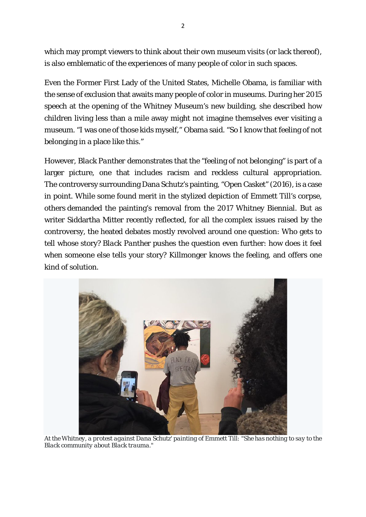which may prompt viewers to think about their own museum visits (or lack thereof), is also emblematic of the experiences of many people of color in such spaces.

Even the Former First Lady of the United States, Michelle Obama, is familiar with the sense of exclusion that awaits many people of color in museums. During her 2015 speech at the opening of the Whitney Museum's new building, she described how children living less than a mile away might not imagine themselves ever visiting a museum. "I was one of those kids myself," Obama said. "So I know that feeling of not belonging in a place like this."

However, *Black Panther* demonstrates that the "feeling of not belonging" is part of a larger picture, one that includes racism and reckless cultural appropriation. The controversy surrounding Dana Schutz's painting, "Open Casket" (2016), is a case in point. While some found merit in the stylized depiction of Emmett Till's corpse, others demanded the painting's removal from the 2017 Whitney Biennial. But as writer Siddartha Mitter recently reflected, for all the complex issues raised by the controversy, the heated debates mostly revolved around one question: Who gets to tell whose story? *Black Panther* pushes the question even further: how does it feel when someone else tells your story? Killmonger knows the feeling, and offers one kind of solution.



*At the Whitney, a protest against Dana Schutz' painting of Emmett Till: "She has nothing to say to the Black community about Black trauma."*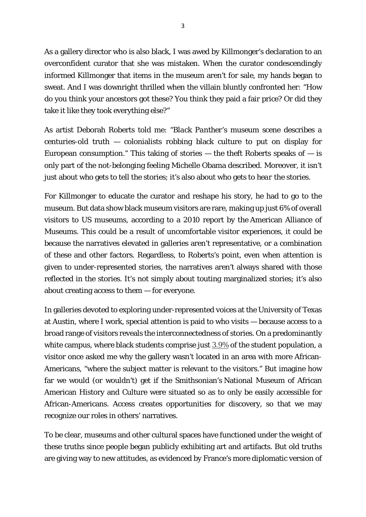As a gallery director who is also black, I was awed by Killmonger's declaration to an overconfident curator that she was mistaken. When the curator condescendingly informed Killmonger that items in the museum aren't for sale, my hands began to sweat. And I was downright thrilled when the villain bluntly confronted her: "How do you think your ancestors got these? You think they paid a fair price? Or did they take it like they took everything else?"

As artist Deborah Roberts told me: "*Black Panther*'s museum scene describes a centuries-old truth — colonialists robbing black culture to put on display for European consumption." This taking of stories  $-$  the theft Roberts speaks of  $-$  is only part of the not-belonging feeling Michelle Obama described. Moreover, it isn't just about who gets to tell the stories; it's also about who gets to *hear* the stories.

For Killmonger to educate the curator and reshape his story, he had to go to the museum. But data show black museum visitors are rare, making up just 6% of overall visitors to US museums, according to a 2010 report by the American Alliance of Museums. This could be a result of uncomfortable visitor experiences, it could be because the narratives elevated in galleries aren't representative, or a combination of these and other factors. Regardless, to Roberts's point, even when attention is given to under-represented stories, the narratives aren't always shared with those reflected in the stories. It's not simply about touting marginalized stories; it's also about creating access to them — for everyone.

In galleries devoted to exploring under-represented voices at the University of Texas at Austin, where I work, special attention is paid to who visits — because access to a broad range of visitors reveals the interconnectedness of stories. On a predominantly white campus, where black students comprise just  $3.9\%$  of the student population, a visitor once asked me why the gallery wasn't located in an area with more African-Americans, "where the subject matter is relevant to the visitors." But imagine how far we would (or wouldn't) get if the Smithsonian's National Museum of African American History and Culture were situated so as to only be easily accessible for African-Americans. Access creates opportunities for discovery, so that we may recognize our roles in others' narratives.

To be clear, museums and other cultural spaces have functioned under the weight of these truths since people began publicly exhibiting art and artifacts. But old truths are giving way to new attitudes, as evidenced by France's more diplomatic version of